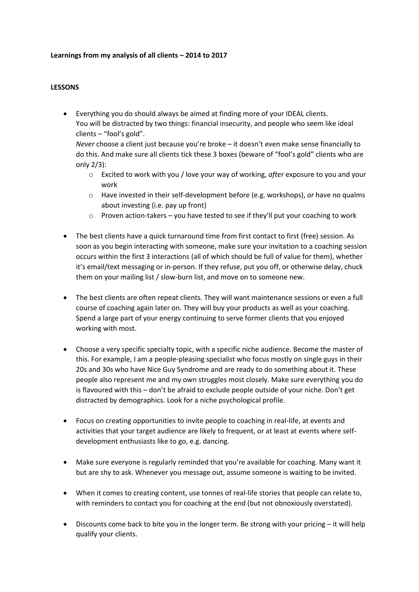#### **Learnings from my analysis of all clients – 2014 to 2017**

#### **LESSONS**

• Everything you do should always be aimed at finding more of your IDEAL clients. You will be distracted by two things: financial insecurity, and people who seem like ideal clients – "fool's gold".

*Never* choose a client just because you're broke – it doesn't even make sense financially to do this. And make sure all clients tick these 3 boxes (beware of "fool's gold" clients who are only 2/3):

- o Excited to work with you / love your way of working, *after* exposure to you and your work
- o Have invested in their self-development before (e.g. workshops), *or* have no qualms about investing (i.e. pay up front)
- o Proven action-takers you have tested to see if they'll put your coaching to work
- The best clients have a quick turnaround time from first contact to first (free) session. As soon as you begin interacting with someone, make sure your invitation to a coaching session occurs within the first 3 interactions (all of which should be full of value for them), whether it's email/text messaging or in-person. If they refuse, put you off, or otherwise delay, chuck them on your mailing list / slow-burn list, and move on to someone new.
- The best clients are often repeat clients. They will want maintenance sessions or even a full course of coaching again later on. They will buy your products as well as your coaching. Spend a large part of your energy continuing to serve former clients that you enjoyed working with most.
- Choose a very specific specialty topic, with a specific niche audience. Become the master of this. For example, I am a people-pleasing specialist who focus mostly on single guys in their 20s and 30s who have Nice Guy Syndrome and are ready to do something about it. These people also represent me and my own struggles most closely. Make sure everything you do is flavoured with this – don't be afraid to exclude people outside of your niche. Don't get distracted by demographics. Look for a niche psychological profile.
- Focus on creating opportunities to invite people to coaching in real-life, at events and activities that your target audience are likely to frequent, or at least at events where selfdevelopment enthusiasts like to go, e.g. dancing.
- Make sure everyone is regularly reminded that you're available for coaching. Many want it but are shy to ask. Whenever you message out, assume someone is waiting to be invited.
- When it comes to creating content, use tonnes of real-life stories that people can relate to, with reminders to contact you for coaching at the end (but not obnoxiously overstated).
- Discounts come back to bite you in the longer term. Be strong with your pricing it will help qualify your clients.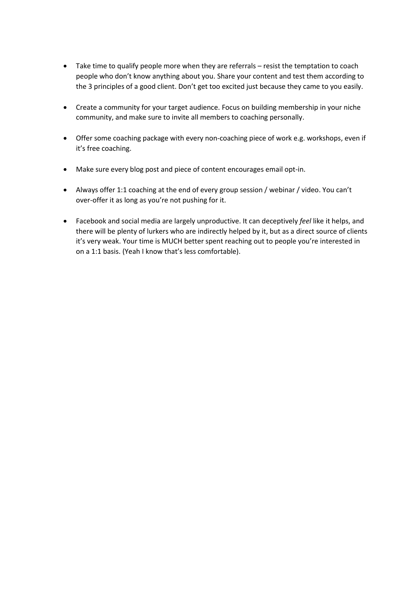- Take time to qualify people more when they are referrals resist the temptation to coach people who don't know anything about you. Share your content and test them according to the 3 principles of a good client. Don't get too excited just because they came to you easily.
- Create a community for your target audience. Focus on building membership in your niche community, and make sure to invite all members to coaching personally.
- Offer some coaching package with every non-coaching piece of work e.g. workshops, even if it's free coaching.
- Make sure every blog post and piece of content encourages email opt-in.
- Always offer 1:1 coaching at the end of every group session / webinar / video. You can't over-offer it as long as you're not pushing for it.
- Facebook and social media are largely unproductive. It can deceptively *feel* like it helps, and there will be plenty of lurkers who are indirectly helped by it, but as a direct source of clients it's very weak. Your time is MUCH better spent reaching out to people you're interested in on a 1:1 basis. (Yeah I know that's less comfortable).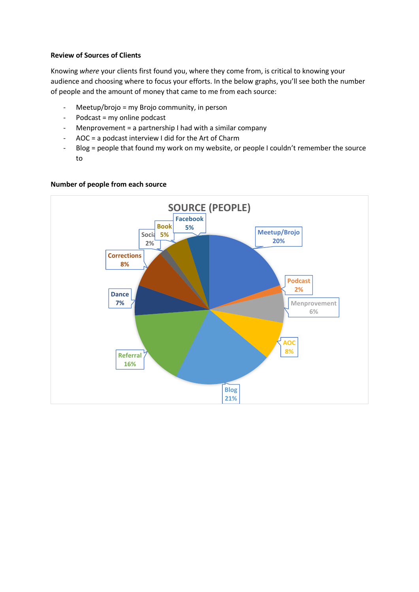# **Review of Sources of Clients**

Knowing *where* your clients first found you, where they come from, is critical to knowing your audience and choosing where to focus your efforts. In the below graphs, you'll see both the number of people and the amount of money that came to me from each source:

- Meetup/brojo = my Brojo community, in person
- Podcast = my online podcast
- Menprovement = a partnership I had with a similar company
- AOC = a podcast interview I did for the Art of Charm
- Blog = people that found my work on my website, or people I couldn't remember the source to



#### **Number of people from each source**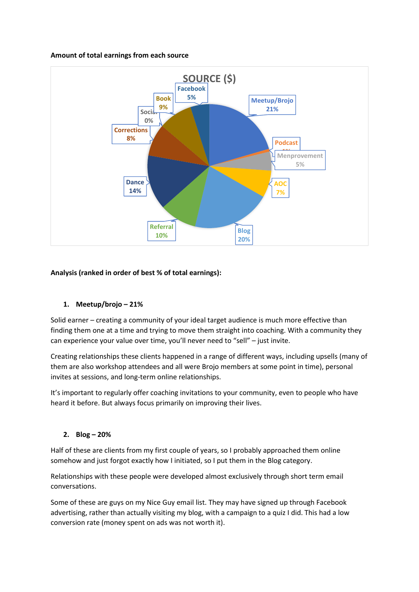## **Amount of total earnings from each source**



# **Analysis (ranked in order of best % of total earnings):**

# **1. Meetup/brojo – 21%**

Solid earner – creating a community of your ideal target audience is much more effective than finding them one at a time and trying to move them straight into coaching. With a community they can experience your value over time, you'll never need to "sell" – just invite.

Creating relationships these clients happened in a range of different ways, including upsells (many of them are also workshop attendees and all were Brojo members at some point in time), personal invites at sessions, and long-term online relationships.

It's important to regularly offer coaching invitations to your community, even to people who have heard it before. But always focus primarily on improving their lives.

#### **2. Blog – 20%**

Half of these are clients from my first couple of years, so I probably approached them online somehow and just forgot exactly how I initiated, so I put them in the Blog category.

Relationships with these people were developed almost exclusively through short term email conversations.

Some of these are guys on my Nice Guy email list. They may have signed up through Facebook advertising, rather than actually visiting my blog, with a campaign to a quiz I did. This had a low conversion rate (money spent on ads was not worth it).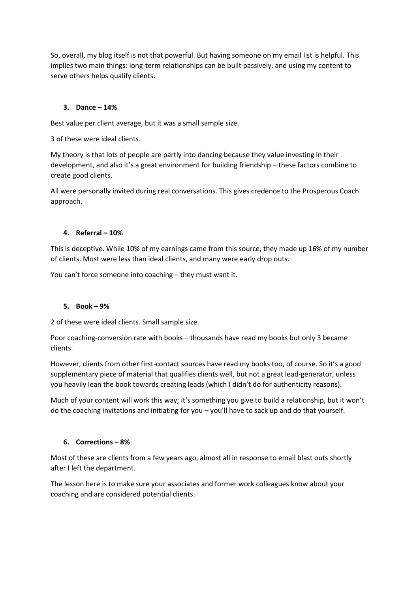So, overall, my blog itself is not that powerful. But having someone on my email list is helpful. This implies two main things: long-term relationships can be built passively, and using my content to serve others helps qualify clients.

## **3. Dance – 14%**

Best value per client average, but it was a small sample size.

3 of these were ideal clients.

My theory is that lots of people are partly into dancing because they value investing in their development, and also it's a great environment for building friendship – these factors combine to create good clients.

All were personally invited during real conversations. This gives credence to the Prosperous Coach approach.

## **4. Referral – 10%**

This is deceptive. While 10% of my earnings came from this source, they made up 16% of my number of clients. Most were less than ideal clients, and many were early drop outs.

You can't force someone into coaching – they must want it.

#### **5. Book – 9%**

2 of these were ideal clients. Small sample size.

Poor coaching-conversion rate with books – thousands have read my books but only 3 became clients.

However, clients from other first-contact sources have read my books too, of course. So it's a good supplementary piece of material that qualifies clients well, but not a great lead-generator, unless you heavily lean the book towards creating leads (which I didn't do for authenticity reasons).

Much of your content will work this way; it's something you give to build a relationship, but it won't do the coaching invitations and initiating for you – you'll have to sack up and do that yourself.

#### **6. Corrections – 8%**

Most of these are clients from a few years ago, almost all in response to email blast outs shortly after I left the department.

The lesson here is to make sure your associates and former work colleagues know about your coaching and are considered potential clients.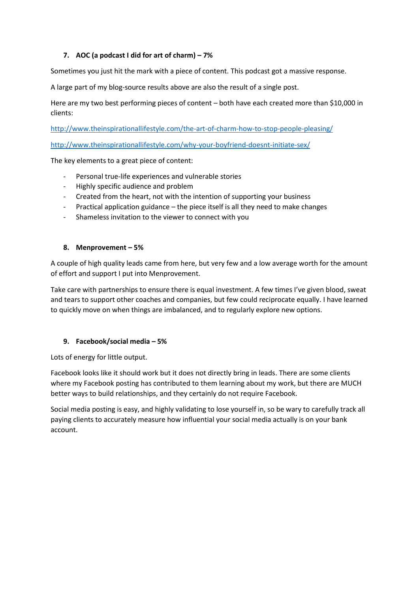# **7. AOC (a podcast I did for art of charm) – 7%**

Sometimes you just hit the mark with a piece of content. This podcast got a massive response.

A large part of my blog-source results above are also the result of a single post.

Here are my two best performing pieces of content – both have each created more than \$10,000 in clients:

<http://www.theinspirationallifestyle.com/the-art-of-charm-how-to-stop-people-pleasing/>

<http://www.theinspirationallifestyle.com/why-your-boyfriend-doesnt-initiate-sex/>

The key elements to a great piece of content:

- Personal true-life experiences and vulnerable stories
- Highly specific audience and problem
- Created from the heart, not with the intention of supporting your business
- Practical application guidance the piece itself is all they need to make changes
- Shameless invitation to the viewer to connect with you

## **8. Menprovement – 5%**

A couple of high quality leads came from here, but very few and a low average worth for the amount of effort and support I put into Menprovement.

Take care with partnerships to ensure there is equal investment. A few times I've given blood, sweat and tears to support other coaches and companies, but few could reciprocate equally. I have learned to quickly move on when things are imbalanced, and to regularly explore new options.

# **9. Facebook/social media – 5%**

Lots of energy for little output.

Facebook looks like it should work but it does not directly bring in leads. There are some clients where my Facebook posting has contributed to them learning about my work, but there are MUCH better ways to build relationships, and they certainly do not require Facebook.

Social media posting is easy, and highly validating to lose yourself in, so be wary to carefully track all paying clients to accurately measure how influential your social media actually is on your bank account.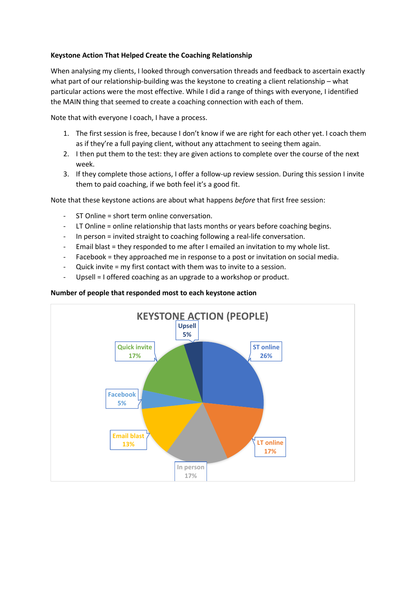## **Keystone Action That Helped Create the Coaching Relationship**

When analysing my clients, I looked through conversation threads and feedback to ascertain exactly what part of our relationship-building was the keystone to creating a client relationship – what particular actions were the most effective. While I did a range of things with everyone, I identified the MAIN thing that seemed to create a coaching connection with each of them.

Note that with everyone I coach, I have a process.

- 1. The first session is free, because I don't know if we are right for each other yet. I coach them as if they're a full paying client, without any attachment to seeing them again.
- 2. I then put them to the test: they are given actions to complete over the course of the next week.
- 3. If they complete those actions, I offer a follow-up review session. During this session I invite them to paid coaching, if we both feel it's a good fit.

Note that these keystone actions are about what happens *before* that first free session:

- ST Online = short term online conversation.
- LT Online = online relationship that lasts months or years before coaching begins.
- In person = invited straight to coaching following a real-life conversation.
- Email blast = they responded to me after I emailed an invitation to my whole list.
- Facebook = they approached me in response to a post or invitation on social media.
- Quick invite = my first contact with them was to invite to a session.
- Upsell = I offered coaching as an upgrade to a workshop or product.

## **Number of people that responded most to each keystone action**

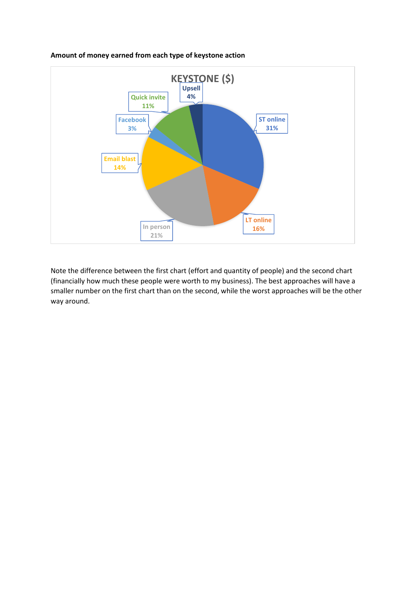

## **Amount of money earned from each type of keystone action**

Note the difference between the first chart (effort and quantity of people) and the second chart (financially how much these people were worth to my business). The best approaches will have a smaller number on the first chart than on the second, while the worst approaches will be the other way around.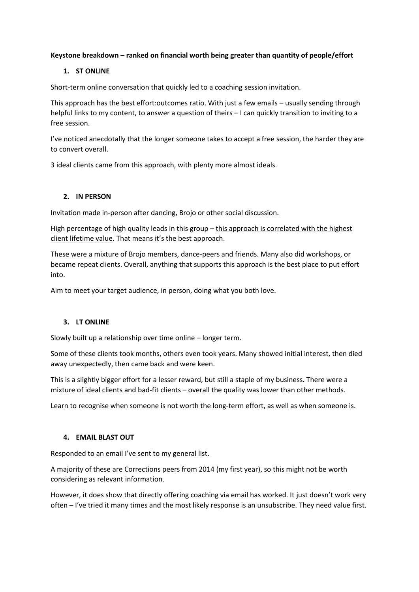# **Keystone breakdown – ranked on financial worth being greater than quantity of people/effort**

## **1. ST ONLINE**

Short-term online conversation that quickly led to a coaching session invitation.

This approach has the best effort:outcomes ratio. With just a few emails – usually sending through helpful links to my content, to answer a question of theirs - I can quickly transition to inviting to a free session.

I've noticed anecdotally that the longer someone takes to accept a free session, the harder they are to convert overall.

3 ideal clients came from this approach, with plenty more almost ideals.

## **2. IN PERSON**

Invitation made in-person after dancing, Brojo or other social discussion.

High percentage of high quality leads in this group - this approach is correlated with the highest client lifetime value. That means it's the best approach.

These were a mixture of Brojo members, dance-peers and friends. Many also did workshops, or became repeat clients. Overall, anything that supports this approach is the best place to put effort into.

Aim to meet your target audience, in person, doing what you both love.

# **3. LT ONLINE**

Slowly built up a relationship over time online – longer term.

Some of these clients took months, others even took years. Many showed initial interest, then died away unexpectedly, then came back and were keen.

This is a slightly bigger effort for a lesser reward, but still a staple of my business. There were a mixture of ideal clients and bad-fit clients – overall the quality was lower than other methods.

Learn to recognise when someone is not worth the long-term effort, as well as when someone is.

# **4. EMAIL BLAST OUT**

Responded to an email I've sent to my general list.

A majority of these are Corrections peers from 2014 (my first year), so this might not be worth considering as relevant information.

However, it does show that directly offering coaching via email has worked. It just doesn't work very often – I've tried it many times and the most likely response is an unsubscribe. They need value first.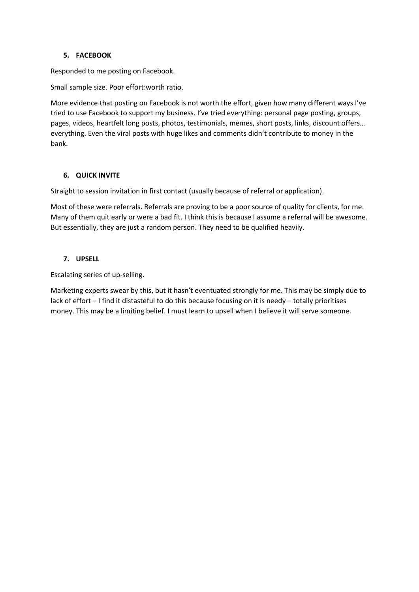# **5. FACEBOOK**

Responded to me posting on Facebook.

Small sample size. Poor effort:worth ratio.

More evidence that posting on Facebook is not worth the effort, given how many different ways I've tried to use Facebook to support my business. I've tried everything: personal page posting, groups, pages, videos, heartfelt long posts, photos, testimonials, memes, short posts, links, discount offers… everything. Even the viral posts with huge likes and comments didn't contribute to money in the bank.

## **6. QUICK INVITE**

Straight to session invitation in first contact (usually because of referral or application).

Most of these were referrals. Referrals are proving to be a poor source of quality for clients, for me. Many of them quit early or were a bad fit. I think this is because I assume a referral will be awesome. But essentially, they are just a random person. They need to be qualified heavily.

## **7. UPSELL**

Escalating series of up-selling.

Marketing experts swear by this, but it hasn't eventuated strongly for me. This may be simply due to lack of effort – I find it distasteful to do this because focusing on it is needy – totally prioritises money. This may be a limiting belief. I must learn to upsell when I believe it will serve someone.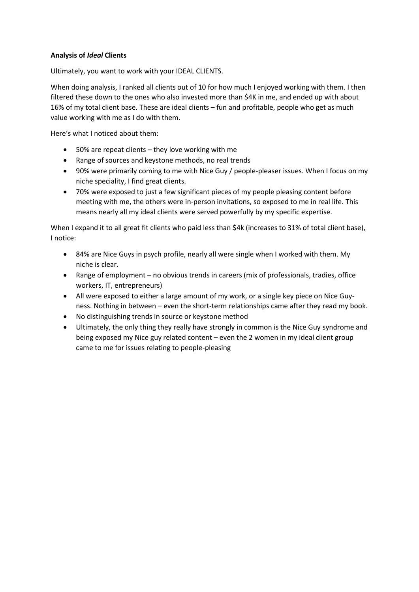# **Analysis of** *Ideal* **Clients**

Ultimately, you want to work with your IDEAL CLIENTS.

When doing analysis, I ranked all clients out of 10 for how much I enjoyed working with them. I then filtered these down to the ones who also invested more than \$4K in me, and ended up with about 16% of my total client base. These are ideal clients – fun and profitable, people who get as much value working with me as I do with them.

Here's what I noticed about them:

- 50% are repeat clients they love working with me
- Range of sources and keystone methods, no real trends
- 90% were primarily coming to me with Nice Guy / people-pleaser issues. When I focus on my niche speciality, I find great clients.
- 70% were exposed to just a few significant pieces of my people pleasing content before meeting with me, the others were in-person invitations, so exposed to me in real life. This means nearly all my ideal clients were served powerfully by my specific expertise.

When I expand it to all great fit clients who paid less than \$4k (increases to 31% of total client base), I notice:

- 84% are Nice Guys in psych profile, nearly all were single when I worked with them. My niche is clear.
- Range of employment no obvious trends in careers (mix of professionals, tradies, office workers, IT, entrepreneurs)
- All were exposed to either a large amount of my work, or a single key piece on Nice Guyness. Nothing in between – even the short-term relationships came after they read my book.
- No distinguishing trends in source or keystone method
- Ultimately, the only thing they really have strongly in common is the Nice Guy syndrome and being exposed my Nice guy related content – even the 2 women in my ideal client group came to me for issues relating to people-pleasing